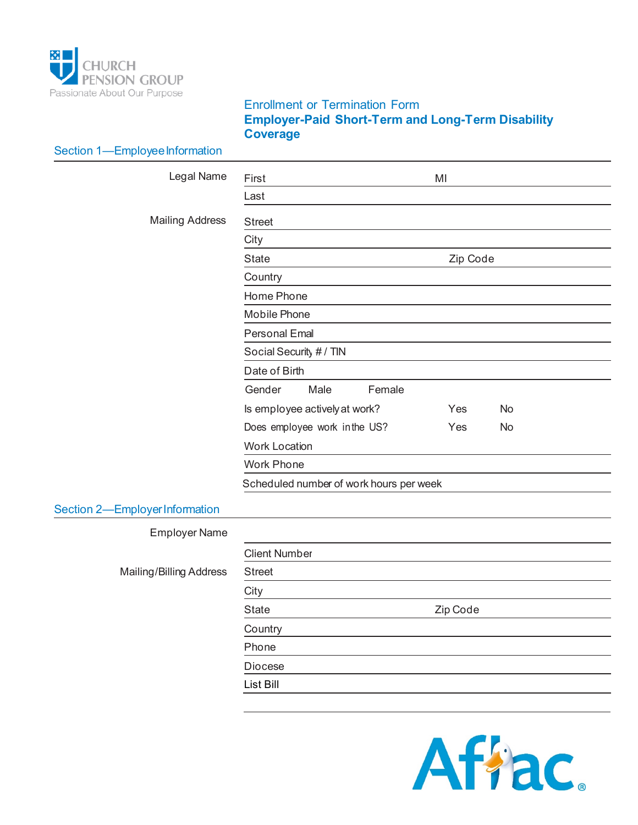

## Enrollment or Termination Form **Employer-Paid Short-Term and Long-Term Disability Coverage**

| Section 1-Employee Information |                                         |           |  |  |
|--------------------------------|-----------------------------------------|-----------|--|--|
| Legal Name                     | First                                   | MI        |  |  |
|                                | Last                                    |           |  |  |
| <b>Mailing Address</b>         | <b>Street</b>                           |           |  |  |
|                                | City                                    |           |  |  |
|                                | <b>State</b>                            | Zip Code  |  |  |
|                                | Country                                 |           |  |  |
|                                | Home Phone                              |           |  |  |
|                                | Mobile Phone                            |           |  |  |
|                                | <b>Personal Emal</b>                    |           |  |  |
|                                | Social Security # / TIN                 |           |  |  |
|                                | Date of Birth                           |           |  |  |
|                                | Gender<br>Male<br>Female                |           |  |  |
|                                | Is employee actively at work?           | Yes<br>No |  |  |
|                                | Does employee work in the US?           | Yes<br>No |  |  |
|                                | <b>Work Location</b>                    |           |  |  |
|                                | <b>Work Phone</b>                       |           |  |  |
|                                | Scheduled number of work hours per week |           |  |  |
| Section 2-Employer Information |                                         |           |  |  |
| <b>Employer Name</b>           |                                         |           |  |  |
|                                | <b>Client Number</b>                    |           |  |  |
| Mailing/Billing Address        | <b>Street</b>                           |           |  |  |
|                                | City                                    |           |  |  |
|                                | <b>State</b>                            | Zip Code  |  |  |
|                                | Country                                 |           |  |  |
|                                | Phone                                   |           |  |  |
|                                | Diocese                                 |           |  |  |
|                                | List Bill                               |           |  |  |

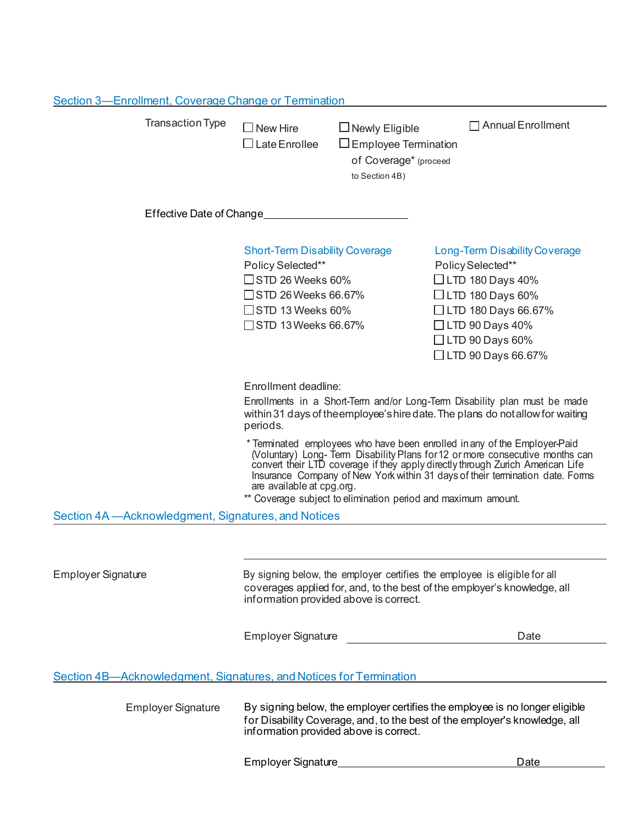| Section 3—Enrollment, Coverage Change or Termination |                                                                                                                                                                                                                                                                                                                                                                                                                         |                                                                                                 |                                                                                                                                                                                                                    |  |  |
|------------------------------------------------------|-------------------------------------------------------------------------------------------------------------------------------------------------------------------------------------------------------------------------------------------------------------------------------------------------------------------------------------------------------------------------------------------------------------------------|-------------------------------------------------------------------------------------------------|--------------------------------------------------------------------------------------------------------------------------------------------------------------------------------------------------------------------|--|--|
| <b>Transaction Type</b>                              | $\Box$ New Hire<br>$\Box$ Late Enrollee                                                                                                                                                                                                                                                                                                                                                                                 | $\Box$ Newly Eligible<br>$\Box$ Employee Termination<br>of Coverage* (proceed<br>to Section 4B) | $\Box$ Annual Enrollment                                                                                                                                                                                           |  |  |
| Effective Date of Change                             |                                                                                                                                                                                                                                                                                                                                                                                                                         |                                                                                                 |                                                                                                                                                                                                                    |  |  |
|                                                      | <b>Short-Term Disability Coverage</b><br>Policy Selected**<br>$\square$ STD 26 Weeks 60%<br>$\square$ STD 26 Weeks 66.67%<br>$\square$ STD 13 Weeks 60%<br>□ STD 13 Weeks 66.67%                                                                                                                                                                                                                                        |                                                                                                 | Long-Term Disability Coverage<br>Policy Selected**<br>$\Box$ LTD 180 Days 40%<br>$\Box$ LTD 180 Days 60%<br>$\Box$ LTD 180 Days 66.67%<br>$\Box$ LTD 90 Days 40%<br>$\Box$ LTD 90 Days 60%<br>□ LTD 90 Days 66.67% |  |  |
|                                                      | Enrollment deadline:<br>Enrollments in a Short-Term and/or Long-Term Disability plan must be made<br>within 31 days of the employee's hire date. The plans do not allow for waiting<br>periods.                                                                                                                                                                                                                         |                                                                                                 |                                                                                                                                                                                                                    |  |  |
|                                                      | * Terminated employees who have been enrolled in any of the Employer-Paid<br>(Voluntary) Long-Term Disability Plans for 12 or more consecutive months can convert their LTD coverage if they apply directly through Zurich American Life<br>Insurance Company of New York within 31 days of their termination date. Forms<br>are available at cpg.org.<br>** Coverage subject to elimination period and maximum amount. |                                                                                                 |                                                                                                                                                                                                                    |  |  |
| Section 4A - Acknowledgment, Signatures, and Notices |                                                                                                                                                                                                                                                                                                                                                                                                                         |                                                                                                 |                                                                                                                                                                                                                    |  |  |
| Employer Signature                                   | By signing below, the employer certifies the employee is eligible for all<br>coverages applied for, and, to the best of the employer's knowledge, all<br>information provided above is correct.<br><b>Employer Signature</b><br>Date                                                                                                                                                                                    |                                                                                                 |                                                                                                                                                                                                                    |  |  |
|                                                      |                                                                                                                                                                                                                                                                                                                                                                                                                         |                                                                                                 |                                                                                                                                                                                                                    |  |  |

Section 4B—Acknowledgment, Signatures, and Notices for Termination

Employer Signature By signing below, the employer certifies the employee is no longer eligible for Disability Coverage, and, to the best of the employer's knowledge, all information provided above is correct.

Employer Signature Manuel Allen Bate